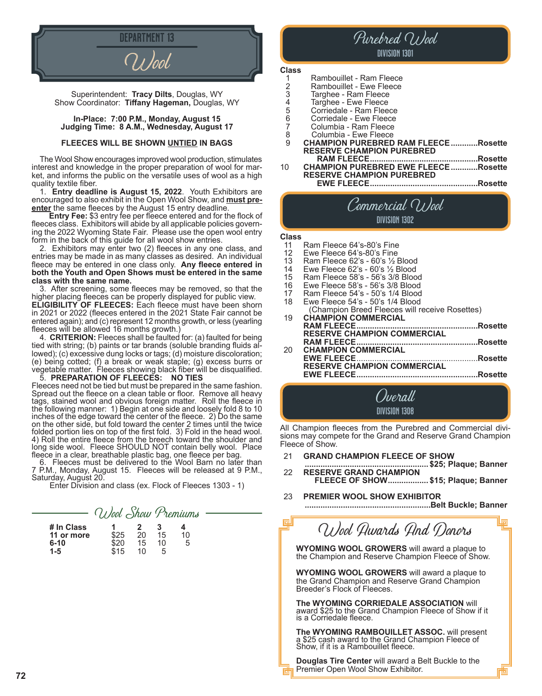

Superintendent: **Tracy Dilts**, Douglas, WY Show Coordinator: **Tiffany Hageman,** Douglas, WY

#### **In-Place: 7:00 P.M., Monday, August 15 Judging Time: 8 A.M., Wednesday, August 17**

#### **FLEECES WILL BE SHOWN UNTIED IN BAGS**

The Wool Show encourages improved wool production, stimulates interest and knowledge in the proper preparation of wool for mar ket, and informs the public on the versatile uses of wool as a high quality textile fiber.

1. **Entry deadline is August 15, 2022**. Youth Exhibitors are encouraged to also exhibit in the Open Wool Show, and **must preenter** the same fleeces by the August 15 entry deadline.

 **Entry Fee:** \$3 entry fee per fleece entered and for the flock of fleeces class. Exhibitors will abide by all applicable policies governing the 2022 Wyoming State Fair. Please use the open wool entry form in the back of this guide for all wool show entries.

2. Exhibitors may enter two (2) fleeces in any one class, and entries may be made in as many classes as desired. An individual fleece may be entered in one class only. **Any fleece entered in both the Youth and Open Shows must be entered in the same class with the same name.**

3. After screening, some fleeces may be removed, so that the higher placing fleeces can be properly displayed for public view. **ELIGIBILITY OF FLEECES:** Each fleece must have been shorn in 2021 or 2022 (fleeces entered in the 2021 State Fair cannot be entered again); and (c) represent 12 months growth, or less (yearling fleeces will be allowed 16 months growth.)

4. **CRITERION:** Fleeces shall be faulted for: (a) faulted for being tied with string; (b) paints or tar brands (soluble branding fluids allowed); (c) excessive dung locks or tags; (d) moisture discoloration; (e) being cotted; (f) a break or weak staple; (g) excess burrs or vegetable matter. Fleeces showing black fiber will be disqualified. 5. **PREPARATION OF FLEECES: NO TIES**

Fleeces need not be tied but must be prepared in the same fashion. Spread out the fleece on a clean table or floor. Remove all heavy tags, stained wool and obvious foreign matter. Roll the fleece in the following manner: 1) Begin at one side and loosely fold 8 to 10 inches of the edge toward the center of the fleece. 2) Do the same on the other side, but fold toward the center 2 times until the twice folded portion lies on top of the first fold. 3) Fold in the head wool. 4) Roll the entire fleece from the breech toward the shoulder and long side wool. Fleece SHOULD NOT contain belly wool. Place fleece in a clear, breathable plastic bag, one fleece per bag.

6. Fleeces must be delivered to the Wool Barn no later than 7 P.M., Monday, August 15. Fleeces will be released at 9 P.M., Saturday, August 20.

Enter Division and class (ex. Flock of Fleeces 1303 - 1)

|                                                 | Wool Show Premiums   |                     |                    |         |
|-------------------------------------------------|----------------------|---------------------|--------------------|---------|
| # In Class<br>11 or more<br>$6 - 10$<br>$1 - 5$ | \$25<br>\$20<br>\$15 | 2<br>20<br>15<br>10 | з<br>15<br>10<br>5 | 10<br>5 |

# Purebred Wool Division 1301 **Class**

|   | Rambouillet - Ram Fleece                   |         |
|---|--------------------------------------------|---------|
| 2 | Rambouillet - Ewe Fleece                   |         |
| 3 | Targhee - Ram Fleece                       |         |
| 4 | Targhee - Ewe Fleece                       |         |
| 5 | Corriedale - Ram Fleece                    |         |
| 6 | Corriedale - Ewe Fleece                    |         |
|   | Columbia - Ram Fleece                      |         |
| 8 | Columbia - Ewe Fleece                      |         |
| 9 | <b>CHAMPION PUREBRED RAM FLEECERosette</b> |         |
|   | <b>RESERVE CHAMPION PUREBRED</b>           |         |
|   | <b>RAM FLEECE.</b>                         | Rosette |
|   |                                            |         |

<sup>10</sup> **CHAMPION PUREBRED EWE FLEECE............Rosette RESERVE CHAMPION PUREBRED EWE FLEECE................................................Rosette**

# Commercial Wool Division 1302

# **Class**

- 11 Ram Fleece 64's-80's Fine<br>12 Ewe Fleece 64's-80's Fine
- 12 Ewe Fleece  $64$ 's- $80$ 's Fine<br>13 Ram Fleece  $62$ 's  $60$ 's  $\frac{1}{2}$  [
- 13 Ram Fleece  $62$ 's  $60$ 's  $\frac{1}{2}$  Blood<br>14 Ewe Fleece  $62$ 's  $60$ 's  $\frac{1}{2}$  Blood
- 14 Ewe Fleece 62's 60's 1/2 Blood<br>15 Ram Fleece 58's 56's 3/8 Bloo
- 15 Ram Fleece 58's 56's 3/8 Blood
- 16 Ewe Fleece 58's 56's 3/8 Blood<br>17 Ram Fleece 54's 50's 1/4 Blood
- 17 Ram Fleece 54's 50's 1/4 Blood<br>18 Ewe Fleece 54's 50's 1/4 Blood
- Ewe Fleece 54's 50's 1/4 Blood (Champion Breed Fleeces will receive Rosettes)
- 19 **CHAMPION COMMERCIAL RAM FLEECE......................................................Rosette RESERVE CHAMPION COMMERCIAL RAM FLEECE......................................................Rosette CHAMPION COMMERCIAL EWE FLEECE**......................................................**Rosette RESERVE CHAMPION COMMERCIAL**
	- **EWE FLEECE......................................................Rosette**

Overall Division 1308

All Champion fleeces from the Purebred and Commercial divi- sions may compete for the Grand and Reserve Grand Champion Fleece of Show.

- 
- <sup>21</sup> **GRAND CHAMPION FLEECE OF SHOW ....................................................... \$25; Plaque; Banner RESERVE GRAND CHAMPION FLEECE OF SHOW.................. \$15; Plaque; Banner**
- 23 **PREMIER WOOL SHOW EXHIBITOR ........................................................Belt Buckle; Banner**

Wool Awards And Donors

**WYOMING WOOL GROWERS** will award a plaque to the Champion and Reserve Champion Fleece of Show.

**WYOMING WOOL GROWERS** will award a plaque to the Grand Champion and Reserve Grand Champion Breeder's Flock of Fleeces.

**The WYOMING CORRIEDALE ASSOCIATION** will award \$25 to the Grand Champion Fleece of Show if it is a Corriedale fleece.

**The WYOMING RAMBOUILLET ASSOC.** will present a \$25 cash award to the Grand Champion Fleece of Show, if it is a Rambouillet fleece.

**Douglas Tire Center** will award a Belt Buckle to the Premier Open Wool Show Exhibitor.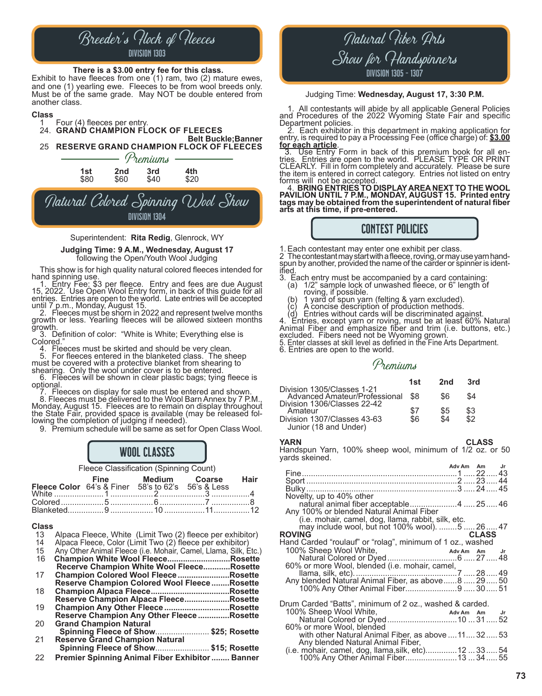# Breeder's Flock of Fleeces Division 1303

#### **There is a \$3.00 entry fee for this class.**

Exhibit to have fleeces from one (1) ram, two (2) mature ewes, and one (1) yearling ewe. Fleeces to be from wool breeds only. Must be of the same grade. May NOT be double entered from another class.

#### **Class**

- Four (4) fleeces per entry. 24. **GRAND CHAMPION FLOCK OF FLEECES**
- **Belt Buckle;Banner** 25 **RESERVE GRAND CHAMPION FLOCK OF FLEECES**



Division 1304

#### Superintendent: **Rita Redig**, Glenrock, WY

#### **Judging Time: 9 A.M., Wednesday, August 17** following the Open/Youth Wool Judging

This show is for high quality natural colored fleeces intended for<br>hand spinning use.<br>1. Entry Fee: \$3 per fleece. Entry and fees are due August<br>15, 2022. Use Open Wool Entry form, in back of this guide for all entries. Entries are open to the world. Late entries will be accepted

until 7 p.m., Monday, August 15.<br>
2. Fleeces must be shorn in 2022 and represent twelve months growth or less. Yearling fleeces will be allowed sixteen months growth.

 $\degree$  3. Definition of color: "White is White; Everything else is Colored."

4. Fleeces must be skirted and should be very clean.<br>5. For fleeces entered in the blanketed class. The sheep<br>must be covered with a protective blanket from shearing to<br>shearing. Only the wool under cover is to be entered.

shearing. Only the wool under cover is to be entered.<br>
6. Fleeces will be shown in clear plastic bags; tying fleece is<br>
optional.<br>
7. Fleeces on display for sale must be entered and shown.<br>
8. Fleeces must be delivered to

the State Fair, provided space is available (may be released fol-<br>lowing the completion of judging if needed).

9. Premium schedule will be same as set for Open Class Wool.

# WOOL CLASSES

Fleece Classification (Spinning Count)

| Fine Medium Coarse Hair<br>Fleece Color 64's & Finer 58's to 62's 56's & Less |  |  |
|-------------------------------------------------------------------------------|--|--|
|                                                                               |  |  |
|                                                                               |  |  |
|                                                                               |  |  |

# **Class**

- 13 Alpaca Fleece, White (Limit Two (2) fleece per exhibitor)<br>14 Alpaca Fleece, Color (Limit Two (2) fleece per exhibitor)
- 14 Alpaca Fleece, Color (Limit Two (2) fleece per exhibitor)
- 15 Any Other Animal Fleece (i.e. Mohair, Camel, Llama, Silk, Etc.)<br>16 **Champion White Wool Fleece...........................Rosette** 16 **Champion White Wool Fleece............................Rosette**
- **Recerve Champion White Wool Fleece............Rosette**
- 17 **Champion Colored Wool Fleece.......................Rosette Reserve Champion Colored Wool Fleece........Rosette** 18 **Champion Alpaca Fleece...................................Rosette Reserve Champion Alpaca Fleece....................Rosette**
- 19 **Champion Any Other Fleece .............................Rosette Reserve Champion Any Other Fleece ..............Rosette** 20 **Grand Champion Natural**
- **Spinning Fleece of Show**........................ **\$25; Rosette Reserve Grand Champion Natural**
- **Spinning Fleece of Show**........................ **\$15; Rosette**
- 22 **Premier Spinning Animal Fiber Exhibitor........ Banner**

# Natural Fiber Arts Show for Handspinners Division 1305 - 1307

#### Judging Time: **Wednesday, August 17, 3:30 P.M.**

1. All contestants will abide by all applicable General Policies and Procedures of the 2022 Wyoming State Fair and specific

Department policies. 2. Each exhibitor in this department in making application for entry, is required to pay a Processing Fee (office charge) of: **\$3.00** 

**for each article**. 3. Use Entry Form in back of this premium book for all en- tries. Entries are open to the world. PLEASE TYPE OR PRINT CLEARLY. Fill in form completely and accurately. Please be sure the item is entered in correct category. Entries not listed on entry

forms will not be accepted.<br>\_\_4. **BRING ENTRIES TO DISPLAY AREA NEXT TO THE WOOL PAVILION UNTIL 7 P.M., MONDAY, AUGUST 15. Printed entry tags may be obtained from the superintendent of natural fiber arts at this time, if pre-entered.**

# CONTEST POLICIES

1. Each contestant may enter one exhibit per class.<br>2 The contestant may start with a fleece, roving, or may use yarn hand-<br>spun by another, provided the name of the carder or spinner is identified.<br>3. Each entry must be accompanied by a card containing

- (a) 1/2" sample lock of unwashed fleece, or 6" length of
- 
- 
- 

(a) the local province in the control of the control of the control of spin by an excluded).<br>
(b) 1 yard of spin yarn (felting & yarn excluded).<br>
(c) A concise description of production methods.<br>
(d) Entries, except yarn o Animal Fiber and emphasize fiber and trim (i.e. buttons, etc.) excluded. Fibers need not be Wyoming grown.

5. Enter classes at skill level as defined in the Fine Arts Department.

6. Entries are open to the world.

## Premiums

|                                                             | 1st | 2nd | 3rd |
|-------------------------------------------------------------|-----|-----|-----|
| Division 1305/Classes 1-21<br>Advanced Amateur/Professional | -S8 | \$6 | \$4 |
| Division 1306/Classes 22-42<br>Amateur                      | \$7 | \$5 | \$3 |
| Division 1307/Classes 43-63<br>Junior (18 and Under)        | \$6 | \$4 | \$2 |

**YARN CLASS** Handspun Yarn, 100% sheep wool, minimum of 1/2 oz. or 50 yards skeined.

|                                                            | Adv Am Am |              | Jr. |
|------------------------------------------------------------|-----------|--------------|-----|
|                                                            |           |              |     |
|                                                            |           |              |     |
|                                                            |           |              |     |
| Novelty, up to 40% other                                   |           |              |     |
| natural animal fiber acceptable4  25 46                    |           |              |     |
|                                                            |           |              |     |
| Any 100% or blended Natural Animal Fiber                   |           |              |     |
| (i.e. mohair, camel, dog, llama, rabbit, silk, etc.        |           |              |     |
| may include wool, but not 100% wool). 5  26  47            |           |              |     |
| <b>ROVING</b>                                              |           | <b>CLASS</b> |     |
| Hand Carded "roulauf" or "rolag", minimum of 1 oz., washed |           |              |     |
| 100% Sheep Wool White,                                     |           |              |     |
|                                                            |           |              |     |
| 60% or more Wool, blended (i.e. mohair, camel,             |           |              |     |
|                                                            |           |              |     |
| Any blended Natural Animal Fiber, as above8  29  50        |           |              |     |
| 100% Any Other Animal Fiber9  30  51                       |           |              |     |
|                                                            |           |              |     |
| Drum Carded "Batts", minimum of 2 oz., washed & carded.    |           |              |     |
| 100% Sheep Wool White,<br>Adv Am Am Jr                     |           |              |     |
| Natural Colored or Dyed 10  31  52                         |           |              |     |
| 60% or more Wool, blended                                  |           |              |     |
| with other Natural Animal Fiber, as above 11 32 53         |           |              |     |
| Any blended Natural Animal Fiber,                          |           |              |     |
| (i.e. mohair, camel, dog, llama, silk, etc) 12  33  54     |           |              |     |
|                                                            |           |              |     |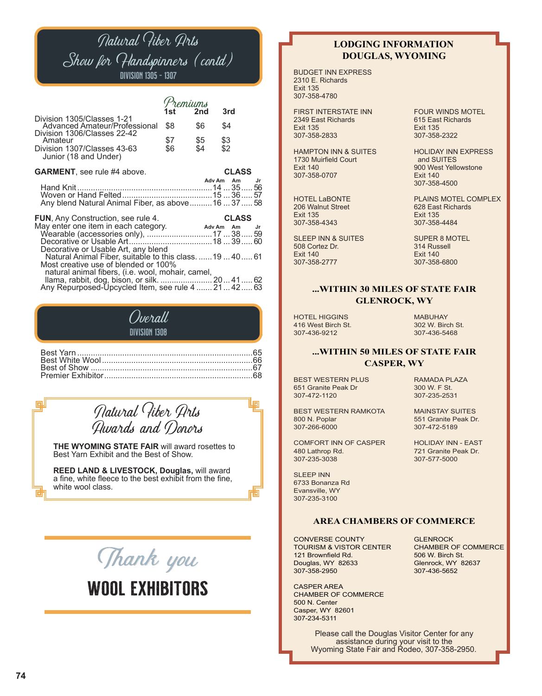# Natural Fiber Arts Show for Handspinners (contd) Division 1305 - 1307

| Division 1305/Classes 1-21                                                                                                                                           | 1 st       | emiums<br>2 <sub>nd</sub> | 3rd                |    |
|----------------------------------------------------------------------------------------------------------------------------------------------------------------------|------------|---------------------------|--------------------|----|
| Advanced Amateur/Professional<br>Division 1306/Classes 22-42                                                                                                         | \$8        | \$6                       | \$4                |    |
| Amateur<br>Division 1307/Classes 43-63<br>Junior (18 and Under)                                                                                                      | \$7<br>\$6 | \$5<br>\$4                | \$3<br>\$2         |    |
| <b>GARMENT</b> , see rule #4 above.                                                                                                                                  |            |                           | <b>CLASS</b>       |    |
| Any blend Natural Animal Fiber, as above  16  37  58                                                                                                                 |            |                           | Adv Am Am          | Jr |
| <b>FUN, Any Construction, see rule 4.</b><br>May enter one item in each category.<br>Wearable (accessories only),  17  38  59<br>Decorative or Usable Art, any blend |            | Adv Am                    | <b>CLASS</b><br>Am | Jr |
| Natural Animal Fiber, suitable to this class.  19  40  61<br>Most creative use of blended or 100%<br>natural animal fibers, (i.e. wool, mohair, camel,               |            |                           |                    |    |
| Ilama, rabbit, dog, bison, or silk.  20 41 62<br>Any Repurposed-Upcycled Item, see rule 4  21  42  63                                                                |            |                           |                    |    |

## Overall DIVISION 1308

# Natural Fiber Arts Awards and Donors

**THE WYOMING STATE FAIR** will award rosettes to Best Yarn Exhibit and the Best of Show.

**REED LAND & LIVESTOCK, Douglas,** will award a fine, white fleece to the best exhibit from the fine, white wool class.



## **LODGING INFORMATION DOUGLAS, WYOMING**

BUDGET INN EXPRESS 2310 E. Richards Exit 135 307-358-4780

FIRST INTERSTATE INN FOUR WINDS MOTEL<br>2349 East Richards 615 East Richards 2349 East Richards<br>Exit 135 307-358-2833

1730 Muirfield Court<br>Exit 140 307-358-0707

206 Walnut Street<br>Exit 135 307-358-4343

SLEEP INN & SUITES SUPER 8 MOTEL 508 Cortez Dr. Exit 140<br>307-358-2777 307-358-6800 307-358-2777

Exit 135<br>307-358-2322

HAMPTON INN & SUITES<br>1730 Muirfield Court **Figure 1189 and SUITES** 900 West Yellowstone<br>Exit 140 307-358-4500

HOTEL LaBONTE<br>
206 Walnut Street<br>
206 Walnut Street<br>
208 East Richards Exit 135<br>307-358-4484

## **...WITHIN 30 MILES OF STATE FAIR GLENROCK, WY**

HOTEL HIGGINS<br>416 West Birch St. 1999 MAD 302 W. Birch St. 416 West Birch St.<br>307-436-9212

307-436-5468

## **...WITHIN 50 MILES OF STATE FAIR CASPER, WY**

BEST WESTERN PLUS RAMADA PLAZA 651 Granite Peak Dr 300 W. F St.<br>307-472-1120 307-235-2531 307-472-1120

١m

BEST WESTERN RAMKOTA MAINSTAY SUITES<br>800 N. Poplar 1999 551 Granite Peak Dr 800 N. Poplar 551 Granite Peak Dr.

COMFORT INN OF CASPER HOLIDAY INN - EAST<br>480 Lathrop Rd. 688 721 Granite Peak Dr. 307-235-3038

SLEEP INN 6733 Bonanza Rd Evansville, WY 307-235-3100

307-472-5189

721 Granite Peak Dr.<br>307-577-5000

**AREA CHAMBERS OF COMMERCE**

CONVERSE COUNTY GLENROCK<br>TOURISM & VISTOR CENTER CHAMBER OF COMMERCE TOURISM & VISTOR CENTER CHAMBER OF CONTER CHAMBER OF COMMERCE CHAMBER OF COMMERCE 121 Brownfield Rd.<br>Douglas, WY 82633 Douglas, WY 82633 Glenrock, WY 82637

CASPER AREA CHAMBER OF COMMERCE 500 N. Center Casper, WY 82601 307-234-5311

307-436-5652

Please call the Douglas Visitor Center for any assistance during your visit to the Wyoming State Fair and Rodeo, 307-358-2950.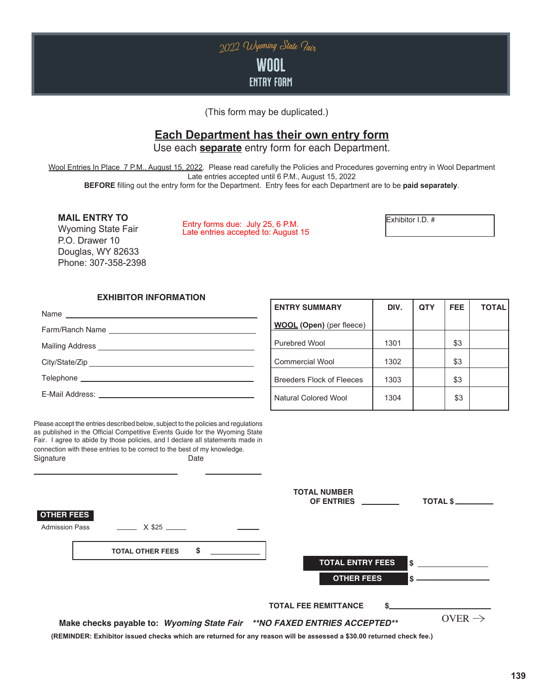

(This form may be duplicated.)

# **Each Department has their own entry form**

Use each **separate** entry form for each Department.

Wool Entries In Place 7 P.M., August 15, 2022. Please read carefully the Policies and Procedures governing entry in Wool Department Late entries accepted until 6 P.M., August 15, 2022

**BEFORE** filling out the entry form for the Department. Entry fees for each Department are to be **paid separately**.

Wyoming State Fair P.O. Drawer 10 Douglas, WY 82633 Phone: 307-358-2398

**MAIL ENTRY TO**<br>Muoming State Feir **III Entry forms due: July 25, 6 P.M.** Late entries accepted to: August 15

## **EXHIBITOR INFORMATION**

Name Farm/Ranch Name

Mailing Address

City/State/Zip Telephone

E-Mail Address:

**ENTRY SUMMARY DIV. QTY FEE TOTAL WOOL (Open)** (per fleece) Purebred Wool 1301 | \$3 Commercial Wool 1302 | \$3 Breeders Flock of Fleeces | 1303 | \$3 Natural Colored Wool | 1304 | \$3

Please accept the entries described below, subject to the policies and regulations as published in the Official Competitive Events Guide for the Wyoming State Fair. I agree to abide by those policies, and I declare all statements made in connection with these entries to be correct to the best of my knowledge. Signature Date

|                                                                                                                                                                                                  | <b>TOTAL NUMBER</b><br>TOTAL \$<br>OF ENTRIES             |                    |
|--------------------------------------------------------------------------------------------------------------------------------------------------------------------------------------------------|-----------------------------------------------------------|--------------------|
| <b>OTHER FEES</b><br><b>Admission Pass</b><br>X \$25                                                                                                                                             |                                                           |                    |
| \$<br><b>TOTAL OTHER FEES</b>                                                                                                                                                                    | <b>TOTAL ENTRY FEES</b><br>l S<br><b>OTHER FEES</b><br>\$ |                    |
| Make checks payable to: Wyoming State Fair **NO FAXED ENTRIES ACCEPTED**<br>(REMINDER: Exhibitor issued checks which are returned for any reason will be assessed a \$30.00 returned check fee.) | <b>TOTAL FEE REMITTANCE</b>                               | OVER $\rightarrow$ |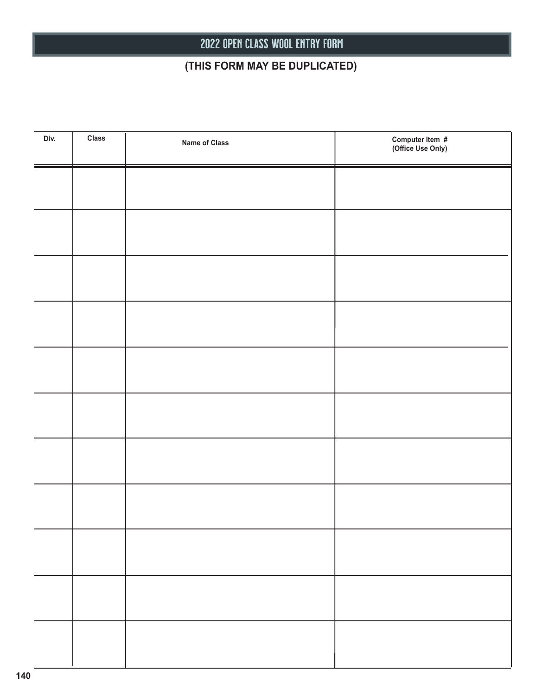# 2022 OPEN CLASS WOOL entry form

# **(THIS FORM MAY BE DUPLICATED)**

| Div. | <b>Class</b> | <b>Name of Class</b> | Computer Item #<br>(Office Use Only) |
|------|--------------|----------------------|--------------------------------------|
|      |              |                      |                                      |
|      |              |                      |                                      |
|      |              |                      |                                      |
|      |              |                      |                                      |
|      |              |                      |                                      |
|      |              |                      |                                      |
|      |              |                      |                                      |
|      |              |                      |                                      |
|      |              |                      |                                      |
|      |              |                      |                                      |
|      |              |                      |                                      |
|      |              |                      |                                      |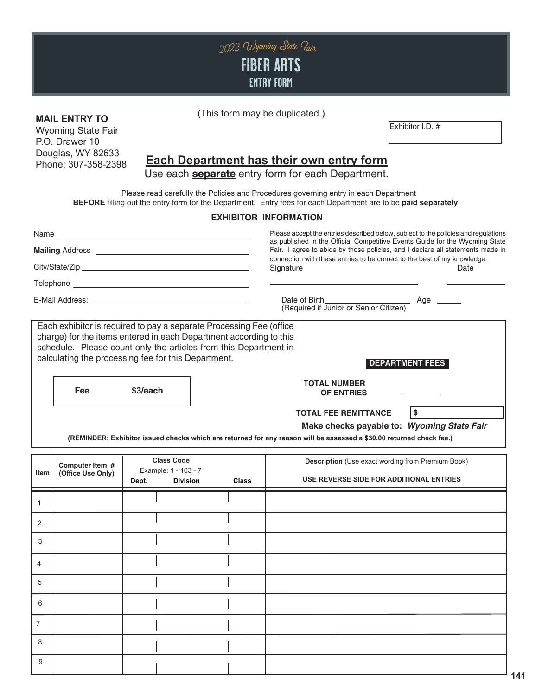

## **MAIL ENTRY TO**

Wyoming State Fair P.O. Drawer 10 Douglas, WY 82633 Phone: 307-358-2398

## (This form may be duplicated.)

Exhibitor I.D. #

# **Each Department has their own entry form**

Use each **separate** entry form for each Department.

 Please read carefully the Policies and Procedures governing entry in each Department **BEFORE** filling out the entry form for the Department. Entry fees for each Department are to be **paid separately**.

## **EXHIBITOR INFORMATION**

|                |                                      |                                                                                                                                                                                                                                                                      |              | Please accept the entries described below, subject to the policies and regulations<br>as published in the Official Competitive Events Guide for the Wyoming State<br>Fair. I agree to abide by those policies, and I declare all statements made in<br>connection with these entries to be correct to the best of my knowledge. |                        |  |
|----------------|--------------------------------------|----------------------------------------------------------------------------------------------------------------------------------------------------------------------------------------------------------------------------------------------------------------------|--------------|---------------------------------------------------------------------------------------------------------------------------------------------------------------------------------------------------------------------------------------------------------------------------------------------------------------------------------|------------------------|--|
|                |                                      |                                                                                                                                                                                                                                                                      |              |                                                                                                                                                                                                                                                                                                                                 |                        |  |
|                |                                      |                                                                                                                                                                                                                                                                      |              | Signature                                                                                                                                                                                                                                                                                                                       | Date                   |  |
|                |                                      |                                                                                                                                                                                                                                                                      |              |                                                                                                                                                                                                                                                                                                                                 |                        |  |
|                |                                      |                                                                                                                                                                                                                                                                      |              | Date of Birth<br>(Required if Junior or Senior Citizen)                                                                                                                                                                                                                                                                         | Age ______             |  |
|                |                                      | Each exhibitor is required to pay a separate Processing Fee (office<br>charge) for the items entered in each Department according to this<br>schedule. Please count only the articles from this Department in<br>calculating the processing fee for this Department. |              |                                                                                                                                                                                                                                                                                                                                 | <b>DEPARTMENT FEES</b> |  |
|                | <b>Fee</b>                           | \$3/each                                                                                                                                                                                                                                                             |              | <b>TOTAL NUMBER</b><br><b>OF ENTRIES</b>                                                                                                                                                                                                                                                                                        |                        |  |
|                |                                      |                                                                                                                                                                                                                                                                      |              | <b>TOTAL FEE REMITTANCE</b><br>Make checks payable to: Wyoming State Fair<br>(REMINDER: Exhibitor issued checks which are returned for any reason will be assessed a \$30.00 returned check fee.)                                                                                                                               | <b>\$</b>              |  |
| <b>Item</b>    | Computer Item #<br>(Office Use Only) | <b>Class Code</b><br>Example: 1 - 103 - 7<br>Dept.<br><b>Division</b>                                                                                                                                                                                                | <b>Class</b> | <b>Description</b> (Use exact wording from Premium Book)<br>USE REVERSE SIDE FOR ADDITIONAL ENTRIES                                                                                                                                                                                                                             |                        |  |
| $\mathbf{1}$   |                                      |                                                                                                                                                                                                                                                                      |              |                                                                                                                                                                                                                                                                                                                                 |                        |  |
| 2              |                                      |                                                                                                                                                                                                                                                                      |              |                                                                                                                                                                                                                                                                                                                                 |                        |  |
| 3              |                                      |                                                                                                                                                                                                                                                                      |              |                                                                                                                                                                                                                                                                                                                                 |                        |  |
| 4              |                                      |                                                                                                                                                                                                                                                                      |              |                                                                                                                                                                                                                                                                                                                                 |                        |  |
| 5              |                                      |                                                                                                                                                                                                                                                                      |              |                                                                                                                                                                                                                                                                                                                                 |                        |  |
| 6              |                                      |                                                                                                                                                                                                                                                                      |              |                                                                                                                                                                                                                                                                                                                                 |                        |  |
| $\overline{7}$ |                                      |                                                                                                                                                                                                                                                                      |              |                                                                                                                                                                                                                                                                                                                                 |                        |  |
| 8              |                                      |                                                                                                                                                                                                                                                                      |              |                                                                                                                                                                                                                                                                                                                                 |                        |  |
| 9              |                                      |                                                                                                                                                                                                                                                                      |              |                                                                                                                                                                                                                                                                                                                                 |                        |  |